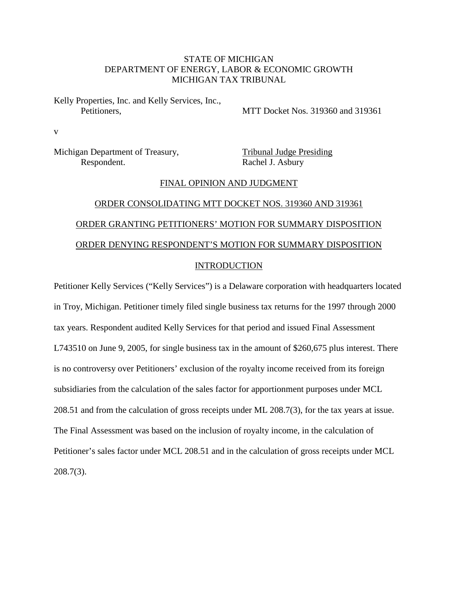## STATE OF MICHIGAN DEPARTMENT OF ENERGY, LABOR & ECONOMIC GROWTH MICHIGAN TAX TRIBUNAL

Kelly Properties, Inc. and Kelly Services, Inc., Petitioners, MTT Docket Nos. 319360 and 319361

v

Michigan Department of Treasury, Tribunal Judge Presiding Respondent. Rachel J. Asbury

#### FINAL OPINION AND JUDGMENT

# ORDER CONSOLIDATING MTT DOCKET NOS. 319360 AND 319361 ORDER GRANTING PETITIONERS' MOTION FOR SUMMARY DISPOSITION ORDER DENYING RESPONDENT'S MOTION FOR SUMMARY DISPOSITION INTRODUCTION

Petitioner Kelly Services ("Kelly Services") is a Delaware corporation with headquarters located in Troy, Michigan. Petitioner timely filed single business tax returns for the 1997 through 2000 tax years. Respondent audited Kelly Services for that period and issued Final Assessment L743510 on June 9, 2005, for single business tax in the amount of \$260,675 plus interest. There is no controversy over Petitioners' exclusion of the royalty income received from its foreign subsidiaries from the calculation of the sales factor for apportionment purposes under MCL 208.51 and from the calculation of gross receipts under ML 208.7(3), for the tax years at issue. The Final Assessment was based on the inclusion of royalty income, in the calculation of Petitioner's sales factor under MCL 208.51 and in the calculation of gross receipts under MCL 208.7(3).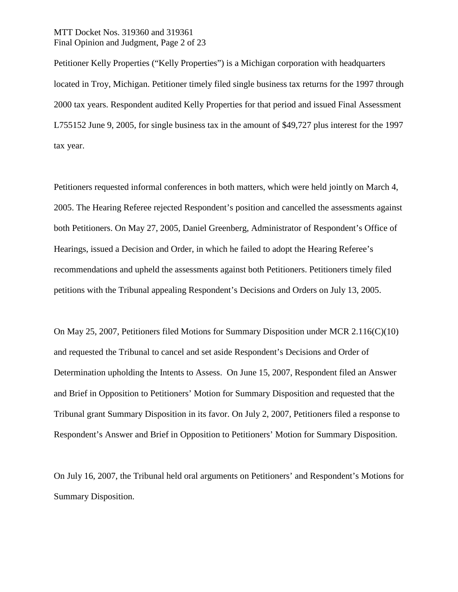## MTT Docket Nos. 319360 and 319361 Final Opinion and Judgment, Page 2 of 23

Petitioner Kelly Properties ("Kelly Properties") is a Michigan corporation with headquarters located in Troy, Michigan. Petitioner timely filed single business tax returns for the 1997 through 2000 tax years. Respondent audited Kelly Properties for that period and issued Final Assessment L755152 June 9, 2005, for single business tax in the amount of \$49,727 plus interest for the 1997 tax year.

Petitioners requested informal conferences in both matters, which were held jointly on March 4, 2005. The Hearing Referee rejected Respondent's position and cancelled the assessments against both Petitioners. On May 27, 2005, Daniel Greenberg, Administrator of Respondent's Office of Hearings, issued a Decision and Order, in which he failed to adopt the Hearing Referee's recommendations and upheld the assessments against both Petitioners. Petitioners timely filed petitions with the Tribunal appealing Respondent's Decisions and Orders on July 13, 2005.

On May 25, 2007, Petitioners filed Motions for Summary Disposition under MCR 2.116(C)(10) and requested the Tribunal to cancel and set aside Respondent's Decisions and Order of Determination upholding the Intents to Assess. On June 15, 2007, Respondent filed an Answer and Brief in Opposition to Petitioners' Motion for Summary Disposition and requested that the Tribunal grant Summary Disposition in its favor. On July 2, 2007, Petitioners filed a response to Respondent's Answer and Brief in Opposition to Petitioners' Motion for Summary Disposition.

On July 16, 2007, the Tribunal held oral arguments on Petitioners' and Respondent's Motions for Summary Disposition.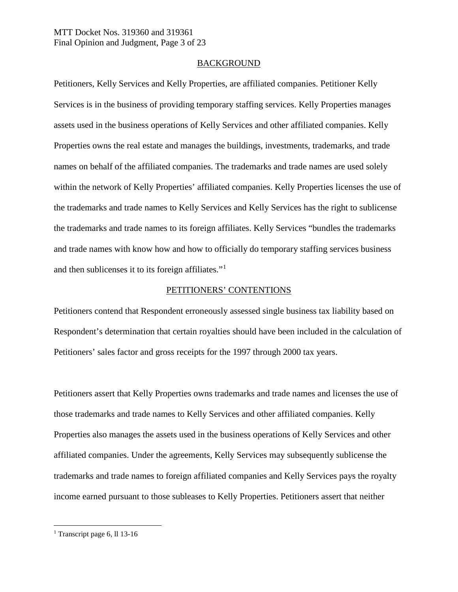## **BACKGROUND**

Petitioners, Kelly Services and Kelly Properties, are affiliated companies. Petitioner Kelly Services is in the business of providing temporary staffing services. Kelly Properties manages assets used in the business operations of Kelly Services and other affiliated companies. Kelly Properties owns the real estate and manages the buildings, investments, trademarks, and trade names on behalf of the affiliated companies. The trademarks and trade names are used solely within the network of Kelly Properties' affiliated companies. Kelly Properties licenses the use of the trademarks and trade names to Kelly Services and Kelly Services has the right to sublicense the trademarks and trade names to its foreign affiliates. Kelly Services "bundles the trademarks and trade names with know how and how to officially do temporary staffing services business and then sublicenses it to its foreign affiliates."[1](#page-2-0)

## PETITIONERS' CONTENTIONS

Petitioners contend that Respondent erroneously assessed single business tax liability based on Respondent's determination that certain royalties should have been included in the calculation of Petitioners' sales factor and gross receipts for the 1997 through 2000 tax years.

Petitioners assert that Kelly Properties owns trademarks and trade names and licenses the use of those trademarks and trade names to Kelly Services and other affiliated companies. Kelly Properties also manages the assets used in the business operations of Kelly Services and other affiliated companies. Under the agreements, Kelly Services may subsequently sublicense the trademarks and trade names to foreign affiliated companies and Kelly Services pays the royalty income earned pursuant to those subleases to Kelly Properties. Petitioners assert that neither

<span id="page-2-0"></span><sup>&</sup>lt;sup>1</sup> Transcript page 6, ll 13-16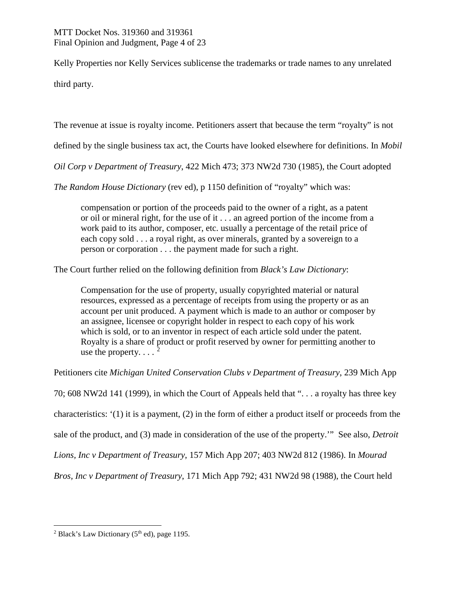Kelly Properties nor Kelly Services sublicense the trademarks or trade names to any unrelated third party.

The revenue at issue is royalty income. Petitioners assert that because the term "royalty" is not

defined by the single business tax act, the Courts have looked elsewhere for definitions. In *Mobil* 

*Oil Corp v Department of Treasury*, 422 Mich 473; 373 NW2d 730 (1985), the Court adopted

*The Random House Dictionary* (rev ed), p 1150 definition of "royalty" which was:

compensation or portion of the proceeds paid to the owner of a right, as a patent or oil or mineral right, for the use of it . . . an agreed portion of the income from a work paid to its author, composer, etc. usually a percentage of the retail price of each copy sold . . . a royal right, as over minerals, granted by a sovereign to a person or corporation . . . the payment made for such a right.

The Court further relied on the following definition from *Black's Law Dictionary*:

Compensation for the use of property, usually copyrighted material or natural resources, expressed as a percentage of receipts from using the property or as an account per unit produced. A payment which is made to an author or composer by an assignee, licensee or copyright holder in respect to each copy of his work which is sold, or to an inventor in respect of each article sold under the patent. Royalty is a share of product or profit reserved by owner for permitting another to use the property.  $\ldots$ <sup>[2](#page-3-0)</sup>

Petitioners cite *Michigan United Conservation Clubs v Department of Treasury*, 239 Mich App

70; 608 NW2d 141 (1999), in which the Court of Appeals held that ". . . a royalty has three key characteristics: '(1) it is a payment, (2) in the form of either a product itself or proceeds from the sale of the product, and (3) made in consideration of the use of the property.'" See also, *Detroit Lions, Inc v Department of Treasury*, 157 Mich App 207; 403 NW2d 812 (1986). In *Mourad* 

*Bros, Inc v Department of Treasury*, 171 Mich App 792; 431 NW2d 98 (1988), the Court held

<span id="page-3-0"></span><sup>&</sup>lt;sup>2</sup> Black's Law Dictionary ( $5<sup>th</sup>$  ed), page 1195.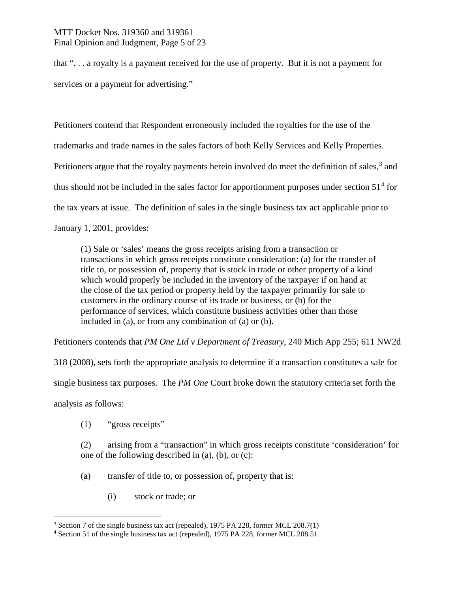## MTT Docket Nos. 319360 and 319361 Final Opinion and Judgment, Page 5 of 23

that ". . . a royalty is a payment received for the use of property. But it is not a payment for services or a payment for advertising."

Petitioners contend that Respondent erroneously included the royalties for the use of the trademarks and trade names in the sales factors of both Kelly Services and Kelly Properties. Petitioners argue that the royalty payments herein involved do meet the definition of sales,  $3$  and thus should not be included in the sales factor for apportionment purposes under section  $51<sup>4</sup>$  $51<sup>4</sup>$  $51<sup>4</sup>$  for the tax years at issue. The definition of sales in the single business tax act applicable prior to January 1, 2001, provides:

(1) Sale or 'sales' means the gross receipts arising from a transaction or transactions in which gross receipts constitute consideration: (a) for the transfer of title to, or possession of, property that is stock in trade or other property of a kind which would properly be included in the inventory of the taxpayer if on hand at the close of the tax period or property held by the taxpayer primarily for sale to customers in the ordinary course of its trade or business, or (b) for the performance of services, which constitute business activities other than those included in (a), or from any combination of (a) or (b).

Petitioners contends that *PM One Ltd v Department of Treasury*, 240 Mich App 255; 611 NW2d

318 (2008), sets forth the appropriate analysis to determine if a transaction constitutes a sale for

single business tax purposes. The *PM One* Court broke down the statutory criteria set forth the

analysis as follows:

(1) "gross receipts"

(2) arising from a "transaction" in which gross receipts constitute 'consideration' for one of the following described in (a), (b), or (c):

- (a) transfer of title to, or possession of, property that is:
	- (i) stock or trade; or

<span id="page-4-0"></span> $3$  Section 7 of the single business tax act (repealed), 1975 PA 228, former MCL 208.7(1)

<span id="page-4-1"></span><sup>4</sup> Section 51 of the single business tax act (repealed), 1975 PA 228, former MCL 208.51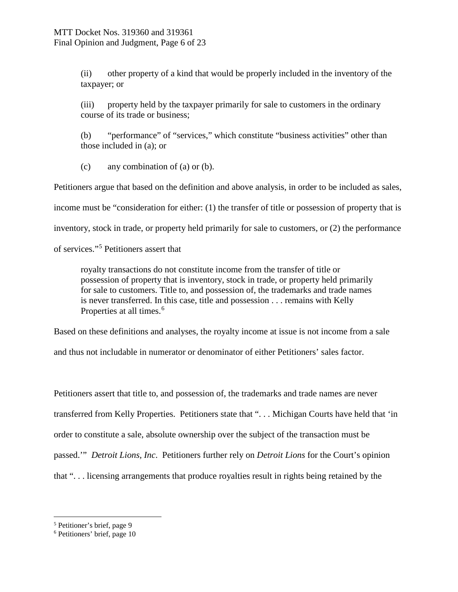(ii) other property of a kind that would be properly included in the inventory of the taxpayer; or

(iii) property held by the taxpayer primarily for sale to customers in the ordinary course of its trade or business;

(b) "performance" of "services," which constitute "business activities" other than those included in (a); or

(c) any combination of (a) or (b).

Petitioners argue that based on the definition and above analysis, in order to be included as sales,

income must be "consideration for either: (1) the transfer of title or possession of property that is

inventory, stock in trade, or property held primarily for sale to customers, or (2) the performance

of services."[5](#page-5-0) Petitioners assert that

royalty transactions do not constitute income from the transfer of title or possession of property that is inventory, stock in trade, or property held primarily for sale to customers. Title to, and possession of, the trademarks and trade names is never transferred. In this case, title and possession . . . remains with Kelly Properties at all times.<sup>[6](#page-5-1)</sup>

Based on these definitions and analyses, the royalty income at issue is not income from a sale

and thus not includable in numerator or denominator of either Petitioners' sales factor.

Petitioners assert that title to, and possession of, the trademarks and trade names are never transferred from Kelly Properties. Petitioners state that ". . . Michigan Courts have held that 'in order to constitute a sale, absolute ownership over the subject of the transaction must be passed.'" *Detroit Lions, Inc*. Petitioners further rely on *Detroit Lions* for the Court's opinion that ". . . licensing arrangements that produce royalties result in rights being retained by the

<span id="page-5-0"></span> <sup>5</sup> Petitioner's brief, page 9

<span id="page-5-1"></span><sup>6</sup> Petitioners' brief, page 10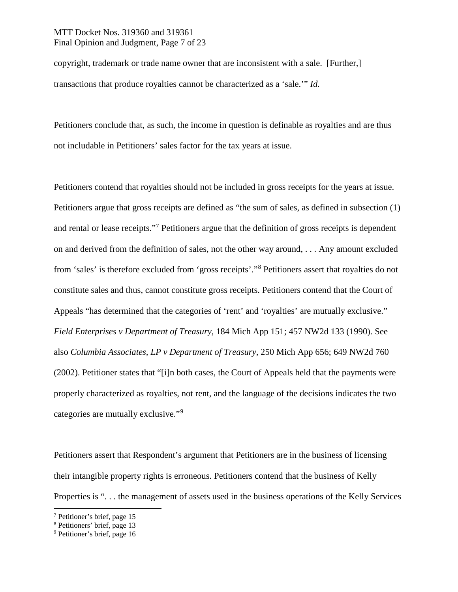## MTT Docket Nos. 319360 and 319361 Final Opinion and Judgment, Page 7 of 23

copyright, trademark or trade name owner that are inconsistent with a sale. [Further,] transactions that produce royalties cannot be characterized as a 'sale.'" *Id.*

Petitioners conclude that, as such, the income in question is definable as royalties and are thus not includable in Petitioners' sales factor for the tax years at issue.

Petitioners contend that royalties should not be included in gross receipts for the years at issue. Petitioners argue that gross receipts are defined as "the sum of sales, as defined in subsection (1) and rental or lease receipts."[7](#page-6-0) Petitioners argue that the definition of gross receipts is dependent on and derived from the definition of sales, not the other way around, . . . Any amount excluded from 'sales' is therefore excluded from 'gross receipts'."[8](#page-6-1) Petitioners assert that royalties do not constitute sales and thus, cannot constitute gross receipts. Petitioners contend that the Court of Appeals "has determined that the categories of 'rent' and 'royalties' are mutually exclusive." *Field Enterprises v Department of Treasury*, 184 Mich App 151; 457 NW2d 133 (1990). See also *Columbia Associates, LP v Department of Treasury*, 250 Mich App 656; 649 NW2d 760 (2002). Petitioner states that "[i]n both cases, the Court of Appeals held that the payments were properly characterized as royalties, not rent, and the language of the decisions indicates the two categories are mutually exclusive."<sup>[9](#page-6-2)</sup>

Petitioners assert that Respondent's argument that Petitioners are in the business of licensing their intangible property rights is erroneous. Petitioners contend that the business of Kelly Properties is ". . . the management of assets used in the business operations of the Kelly Services

<span id="page-6-0"></span> <sup>7</sup> Petitioner's brief, page 15

<span id="page-6-1"></span><sup>8</sup> Petitioners' brief, page 13

<span id="page-6-2"></span><sup>9</sup> Petitioner's brief, page 16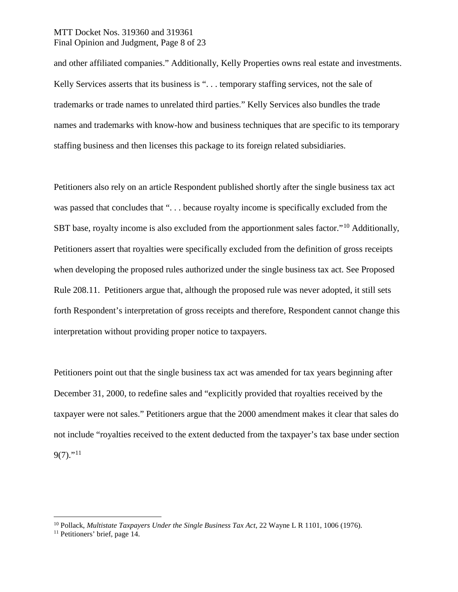## MTT Docket Nos. 319360 and 319361 Final Opinion and Judgment, Page 8 of 23

and other affiliated companies." Additionally, Kelly Properties owns real estate and investments. Kelly Services asserts that its business is "... temporary staffing services, not the sale of trademarks or trade names to unrelated third parties." Kelly Services also bundles the trade names and trademarks with know-how and business techniques that are specific to its temporary staffing business and then licenses this package to its foreign related subsidiaries.

Petitioners also rely on an article Respondent published shortly after the single business tax act was passed that concludes that "... because royalty income is specifically excluded from the SBT base, royalty income is also excluded from the apportionment sales factor."<sup>[10](#page-7-0)</sup> Additionally, Petitioners assert that royalties were specifically excluded from the definition of gross receipts when developing the proposed rules authorized under the single business tax act. See Proposed Rule 208.11. Petitioners argue that, although the proposed rule was never adopted, it still sets forth Respondent's interpretation of gross receipts and therefore, Respondent cannot change this interpretation without providing proper notice to taxpayers.

Petitioners point out that the single business tax act was amended for tax years beginning after December 31, 2000, to redefine sales and "explicitly provided that royalties received by the taxpayer were not sales." Petitioners argue that the 2000 amendment makes it clear that sales do not include "royalties received to the extent deducted from the taxpayer's tax base under section  $9(7)$ ."<sup>[11](#page-7-1)</sup>

<span id="page-7-0"></span> <sup>10</sup> Pollack, *Multistate Taxpayers Under the Single Business Tax Act*, 22 Wayne L R 1101, 1006 (1976).

<span id="page-7-1"></span><sup>&</sup>lt;sup>11</sup> Petitioners' brief, page 14.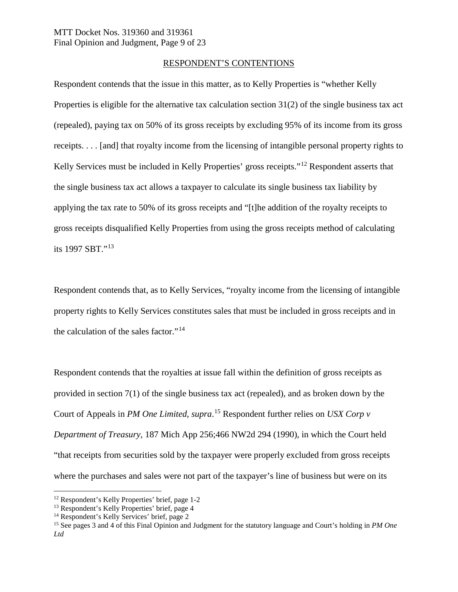#### RESPONDENT'S CONTENTIONS

Respondent contends that the issue in this matter, as to Kelly Properties is "whether Kelly Properties is eligible for the alternative tax calculation section 31(2) of the single business tax act (repealed), paying tax on 50% of its gross receipts by excluding 95% of its income from its gross receipts. . . . [and] that royalty income from the licensing of intangible personal property rights to Kelly Services must be included in Kelly Properties' gross receipts."[12](#page-8-0) Respondent asserts that the single business tax act allows a taxpayer to calculate its single business tax liability by applying the tax rate to 50% of its gross receipts and "[t]he addition of the royalty receipts to gross receipts disqualified Kelly Properties from using the gross receipts method of calculating its 1997 SBT."[13](#page-8-1)

Respondent contends that, as to Kelly Services, "royalty income from the licensing of intangible property rights to Kelly Services constitutes sales that must be included in gross receipts and in the calculation of the sales factor."[14](#page-8-2)

Respondent contends that the royalties at issue fall within the definition of gross receipts as provided in section 7(1) of the single business tax act (repealed), and as broken down by the Court of Appeals in *PM One Limited*, *supra*. [15](#page-8-3) Respondent further relies on *USX Corp v Department of Treasury,* 187 Mich App 256;466 NW2d 294 (1990), in which the Court held "that receipts from securities sold by the taxpayer were properly excluded from gross receipts where the purchases and sales were not part of the taxpayer's line of business but were on its

<span id="page-8-0"></span> <sup>12</sup> Respondent's Kelly Properties' brief, page 1-2

<span id="page-8-1"></span><sup>13</sup> Respondent's Kelly Properties' brief, page 4

<span id="page-8-2"></span><sup>&</sup>lt;sup>14</sup> Respondent's Kelly Services' brief, page 2

<span id="page-8-3"></span><sup>15</sup> See pages 3 and 4 of this Final Opinion and Judgment for the statutory language and Court's holding in *PM One Ltd*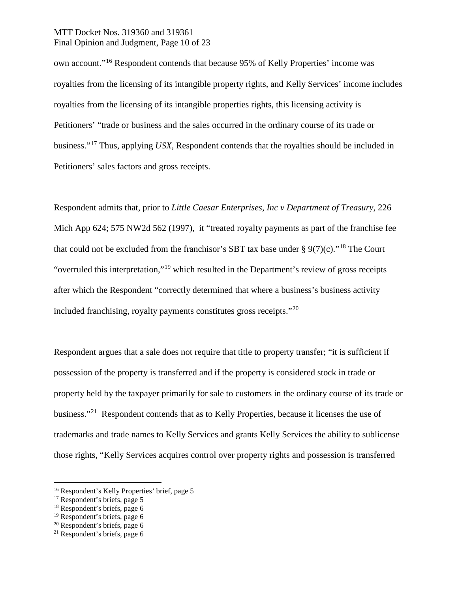## MTT Docket Nos. 319360 and 319361 Final Opinion and Judgment, Page 10 of 23

own account."[16](#page-9-0) Respondent contends that because 95% of Kelly Properties' income was royalties from the licensing of its intangible property rights, and Kelly Services' income includes royalties from the licensing of its intangible properties rights, this licensing activity is Petitioners' "trade or business and the sales occurred in the ordinary course of its trade or business."[17](#page-9-1) Thus, applying *USX*, Respondent contends that the royalties should be included in Petitioners' sales factors and gross receipts.

Respondent admits that, prior to *Little Caesar Enterprises, Inc v Department of Treasury*, 226 Mich App 624; 575 NW2d 562 (1997), it "treated royalty payments as part of the franchise fee that could not be excluded from the franchisor's SBT tax base under §  $9(7)(c)$ ."<sup>[18](#page-9-2)</sup> The Court "overruled this interpretation,"[19](#page-9-3) which resulted in the Department's review of gross receipts after which the Respondent "correctly determined that where a business's business activity included franchising, royalty payments constitutes gross receipts."[20](#page-9-4)

Respondent argues that a sale does not require that title to property transfer; "it is sufficient if possession of the property is transferred and if the property is considered stock in trade or property held by the taxpayer primarily for sale to customers in the ordinary course of its trade or business."[21](#page-9-5) Respondent contends that as to Kelly Properties, because it licenses the use of trademarks and trade names to Kelly Services and grants Kelly Services the ability to sublicense those rights, "Kelly Services acquires control over property rights and possession is transferred

<span id="page-9-0"></span> <sup>16</sup> Respondent's Kelly Properties' brief, page 5

<span id="page-9-1"></span><sup>&</sup>lt;sup>17</sup> Respondent's briefs, page 5

<span id="page-9-2"></span><sup>18</sup> Respondent's briefs, page 6

<span id="page-9-3"></span><sup>19</sup> Respondent's briefs, page 6

<span id="page-9-4"></span> $20$  Respondent's briefs, page 6

<span id="page-9-5"></span> $21$  Respondent's briefs, page 6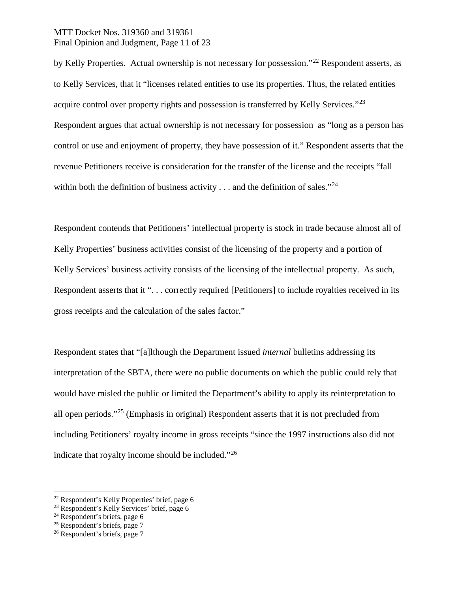## MTT Docket Nos. 319360 and 319361 Final Opinion and Judgment, Page 11 of 23

by Kelly Properties. Actual ownership is not necessary for possession."[22](#page-10-0) Respondent asserts, as to Kelly Services, that it "licenses related entities to use its properties. Thus, the related entities acquire control over property rights and possession is transferred by Kelly Services."<sup>[23](#page-10-1)</sup> Respondent argues that actual ownership is not necessary for possession as "long as a person has control or use and enjoyment of property, they have possession of it." Respondent asserts that the revenue Petitioners receive is consideration for the transfer of the license and the receipts "fall within both the definition of business activity  $\dots$  and the definition of sales."<sup>[24](#page-10-2)</sup>

Respondent contends that Petitioners' intellectual property is stock in trade because almost all of Kelly Properties' business activities consist of the licensing of the property and a portion of Kelly Services' business activity consists of the licensing of the intellectual property. As such, Respondent asserts that it ". . . correctly required [Petitioners] to include royalties received in its gross receipts and the calculation of the sales factor."

Respondent states that "[a]lthough the Department issued *internal* bulletins addressing its interpretation of the SBTA, there were no public documents on which the public could rely that would have misled the public or limited the Department's ability to apply its reinterpretation to all open periods."[25](#page-10-3) (Emphasis in original) Respondent asserts that it is not precluded from including Petitioners' royalty income in gross receipts "since the 1997 instructions also did not indicate that royalty income should be included."[26](#page-10-4)

<span id="page-10-0"></span> <sup>22</sup> Respondent's Kelly Properties' brief, page 6

<span id="page-10-1"></span><sup>23</sup> Respondent's Kelly Services' brief, page 6

<span id="page-10-2"></span> $24$  Respondent's briefs, page 6

<span id="page-10-3"></span> $25$  Respondent's briefs, page 7

<span id="page-10-4"></span><sup>26</sup> Respondent's briefs, page 7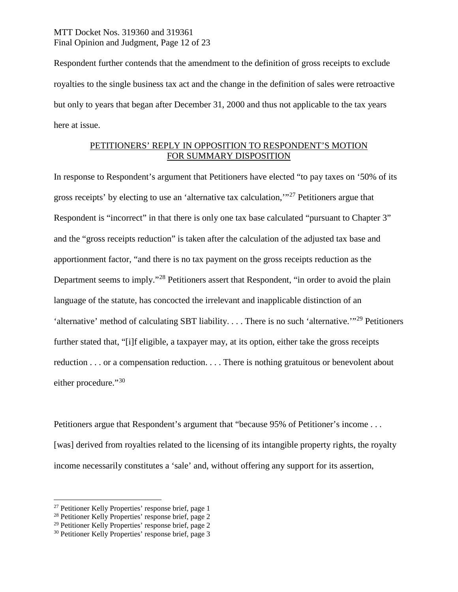## MTT Docket Nos. 319360 and 319361 Final Opinion and Judgment, Page 12 of 23

Respondent further contends that the amendment to the definition of gross receipts to exclude royalties to the single business tax act and the change in the definition of sales were retroactive but only to years that began after December 31, 2000 and thus not applicable to the tax years here at issue.

## PETITIONERS' REPLY IN OPPOSITION TO RESPONDENT'S MOTION FOR SUMMARY DISPOSITION

In response to Respondent's argument that Petitioners have elected "to pay taxes on '50% of its gross receipts' by electing to use an 'alternative tax calculation,'"[27](#page-11-0) Petitioners argue that Respondent is "incorrect" in that there is only one tax base calculated "pursuant to Chapter 3" and the "gross receipts reduction" is taken after the calculation of the adjusted tax base and apportionment factor, "and there is no tax payment on the gross receipts reduction as the Department seems to imply."<sup>[28](#page-11-1)</sup> Petitioners assert that Respondent, "in order to avoid the plain language of the statute, has concocted the irrelevant and inapplicable distinction of an 'alternative' method of calculating SBT liability. . . . There is no such 'alternative.'"[29](#page-11-2) Petitioners further stated that, "[i]f eligible, a taxpayer may, at its option, either take the gross receipts reduction . . . or a compensation reduction. . . . There is nothing gratuitous or benevolent about either procedure."[30](#page-11-3)

Petitioners argue that Respondent's argument that "because 95% of Petitioner's income ... [was] derived from royalties related to the licensing of its intangible property rights, the royalty income necessarily constitutes a 'sale' and, without offering any support for its assertion,

<span id="page-11-0"></span> <sup>27</sup> Petitioner Kelly Properties' response brief, page 1

<span id="page-11-1"></span><sup>28</sup> Petitioner Kelly Properties' response brief, page 2

<span id="page-11-2"></span><sup>29</sup> Petitioner Kelly Properties' response brief, page 2

<span id="page-11-3"></span><sup>30</sup> Petitioner Kelly Properties' response brief, page 3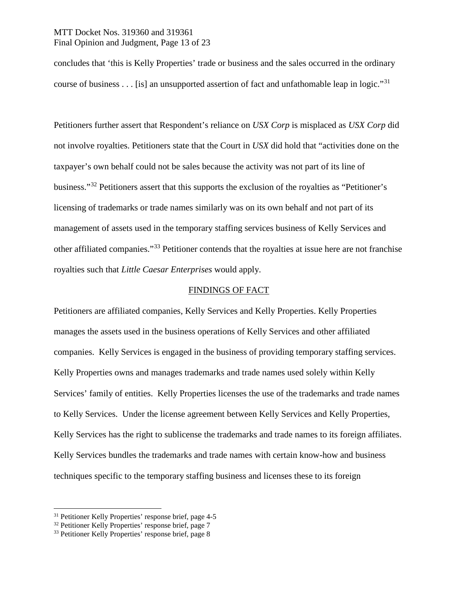## MTT Docket Nos. 319360 and 319361 Final Opinion and Judgment, Page 13 of 23

concludes that 'this is Kelly Properties' trade or business and the sales occurred in the ordinary course of business . . . [is] an unsupported assertion of fact and unfathomable leap in logic."<sup>[31](#page-12-0)</sup>

Petitioners further assert that Respondent's reliance on *USX Corp* is misplaced as *USX Corp* did not involve royalties. Petitioners state that the Court in *USX* did hold that "activities done on the taxpayer's own behalf could not be sales because the activity was not part of its line of business."[32](#page-12-1) Petitioners assert that this supports the exclusion of the royalties as "Petitioner's licensing of trademarks or trade names similarly was on its own behalf and not part of its management of assets used in the temporary staffing services business of Kelly Services and other affiliated companies."[33](#page-12-2) Petitioner contends that the royalties at issue here are not franchise royalties such that *Little Caesar Enterprises* would apply.

#### FINDINGS OF FACT

Petitioners are affiliated companies, Kelly Services and Kelly Properties. Kelly Properties manages the assets used in the business operations of Kelly Services and other affiliated companies. Kelly Services is engaged in the business of providing temporary staffing services. Kelly Properties owns and manages trademarks and trade names used solely within Kelly Services' family of entities. Kelly Properties licenses the use of the trademarks and trade names to Kelly Services. Under the license agreement between Kelly Services and Kelly Properties, Kelly Services has the right to sublicense the trademarks and trade names to its foreign affiliates. Kelly Services bundles the trademarks and trade names with certain know-how and business techniques specific to the temporary staffing business and licenses these to its foreign

<span id="page-12-0"></span> <sup>31</sup> Petitioner Kelly Properties' response brief, page 4-5

<span id="page-12-1"></span><sup>32</sup> Petitioner Kelly Properties' response brief, page 7

<span id="page-12-2"></span><sup>33</sup> Petitioner Kelly Properties' response brief, page 8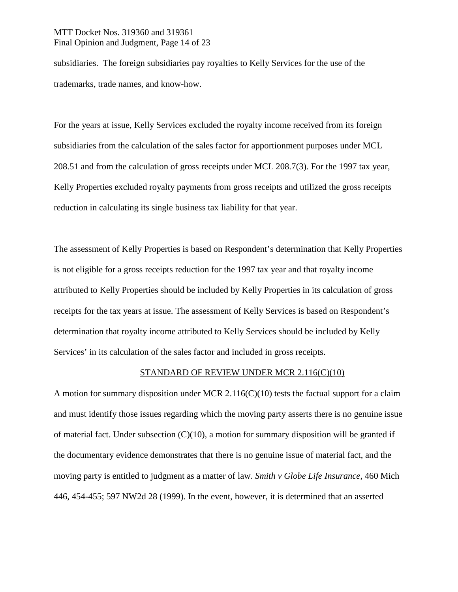## MTT Docket Nos. 319360 and 319361 Final Opinion and Judgment, Page 14 of 23

subsidiaries. The foreign subsidiaries pay royalties to Kelly Services for the use of the trademarks, trade names, and know-how.

For the years at issue, Kelly Services excluded the royalty income received from its foreign subsidiaries from the calculation of the sales factor for apportionment purposes under MCL 208.51 and from the calculation of gross receipts under MCL 208.7(3). For the 1997 tax year, Kelly Properties excluded royalty payments from gross receipts and utilized the gross receipts reduction in calculating its single business tax liability for that year.

The assessment of Kelly Properties is based on Respondent's determination that Kelly Properties is not eligible for a gross receipts reduction for the 1997 tax year and that royalty income attributed to Kelly Properties should be included by Kelly Properties in its calculation of gross receipts for the tax years at issue. The assessment of Kelly Services is based on Respondent's determination that royalty income attributed to Kelly Services should be included by Kelly Services' in its calculation of the sales factor and included in gross receipts.

#### STANDARD OF REVIEW UNDER MCR 2.116(C)(10)

A motion for summary disposition under MCR 2.116(C)(10) tests the factual support for a claim and must identify those issues regarding which the moving party asserts there is no genuine issue of material fact. Under subsection  $(C)(10)$ , a motion for summary disposition will be granted if the documentary evidence demonstrates that there is no genuine issue of material fact, and the moving party is entitled to judgment as a matter of law. *Smith v Globe Life Insurance*, 460 Mich 446, 454-455; 597 NW2d 28 (1999). In the event, however, it is determined that an asserted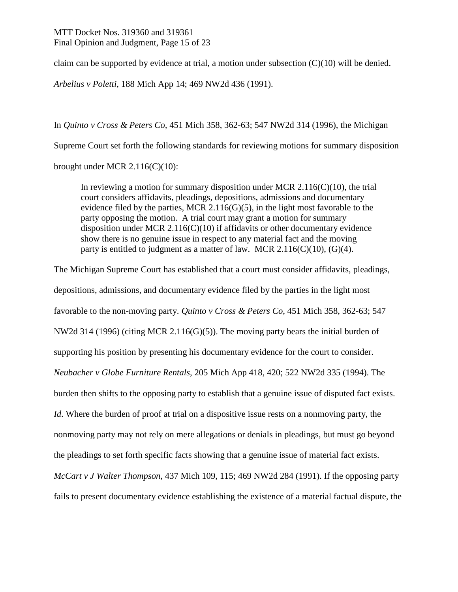## MTT Docket Nos. 319360 and 319361 Final Opinion and Judgment, Page 15 of 23

claim can be supported by evidence at trial, a motion under subsection  $(C)(10)$  will be denied.

*Arbelius v Poletti*, 188 Mich App 14; 469 NW2d 436 (1991).

In *Quinto v Cross & Peters Co,* 451 Mich 358, 362-63; 547 NW2d 314 (1996), the Michigan

Supreme Court set forth the following standards for reviewing motions for summary disposition

brought under MCR 2.116(C)(10):

In reviewing a motion for summary disposition under MCR  $2.116(C)(10)$ , the trial court considers affidavits, pleadings, depositions, admissions and documentary evidence filed by the parties, MCR 2.116( $G(5)$ , in the light most favorable to the party opposing the motion. A trial court may grant a motion for summary disposition under MCR 2.116( $C(10)$ ) if affidavits or other documentary evidence show there is no genuine issue in respect to any material fact and the moving party is entitled to judgment as a matter of law. MCR  $2.116(C)(10)$ ,  $(G)(4)$ .

The Michigan Supreme Court has established that a court must consider affidavits, pleadings, depositions, admissions, and documentary evidence filed by the parties in the light most favorable to the non-moving party. *Quinto v Cross & Peters Co*, 451 Mich 358, 362-63; 547 NW2d 314 (1996) (citing MCR 2.116(G)(5)). The moving party bears the initial burden of supporting his position by presenting his documentary evidence for the court to consider. *Neubacher v Globe Furniture Rentals*, 205 Mich App 418, 420; 522 NW2d 335 (1994). The burden then shifts to the opposing party to establish that a genuine issue of disputed fact exists. *Id*. Where the burden of proof at trial on a dispositive issue rests on a nonmoving party, the nonmoving party may not rely on mere allegations or denials in pleadings, but must go beyond the pleadings to set forth specific facts showing that a genuine issue of material fact exists. *McCart v J Walter Thompson*, 437 Mich 109, 115; 469 NW2d 284 (1991). If the opposing party fails to present documentary evidence establishing the existence of a material factual dispute, the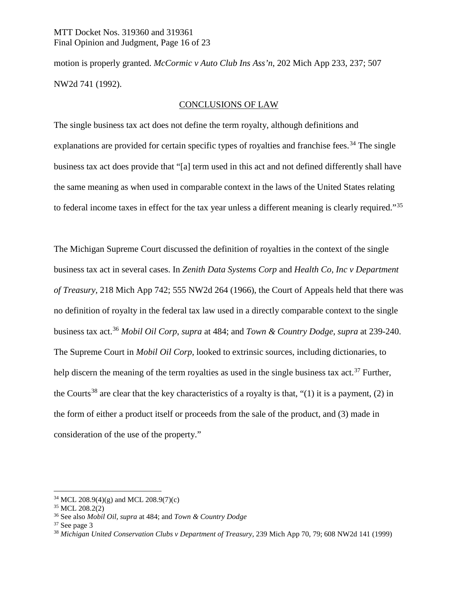## MTT Docket Nos. 319360 and 319361 Final Opinion and Judgment, Page 16 of 23

motion is properly granted. *McCormic v Auto Club Ins Ass'n*, 202 Mich App 233, 237; 507 NW2d 741 (1992).

## CONCLUSIONS OF LAW

The single business tax act does not define the term royalty, although definitions and explanations are provided for certain specific types of royalties and franchise fees.<sup>[34](#page-15-0)</sup> The single business tax act does provide that "[a] term used in this act and not defined differently shall have the same meaning as when used in comparable context in the laws of the United States relating to federal income taxes in effect for the tax year unless a different meaning is clearly required."[35](#page-15-1)

The Michigan Supreme Court discussed the definition of royalties in the context of the single business tax act in several cases. In *Zenith Data Systems Corp* and *Health Co, Inc v Department of Treasury,* 218 Mich App 742; 555 NW2d 264 (1966), the Court of Appeals held that there was no definition of royalty in the federal tax law used in a directly comparable context to the single business tax act.[36](#page-15-2) *Mobil Oil Corp*, *supra* at 484; and *Town & Country Dodge*, *supra* at 239-240. The Supreme Court in *Mobil Oil Corp*, looked to extrinsic sources, including dictionaries, to help discern the meaning of the term royalties as used in the single business tax act.<sup>[37](#page-15-3)</sup> Further, the Courts<sup>[38](#page-15-4)</sup> are clear that the key characteristics of a royalty is that, "(1) it is a payment, (2) in the form of either a product itself or proceeds from the sale of the product, and (3) made in consideration of the use of the property."

<span id="page-15-0"></span> $34$  MCL 208.9(4)(g) and MCL 208.9(7)(c)

<span id="page-15-1"></span><sup>35</sup> MCL 208.2(2)

<span id="page-15-2"></span><sup>36</sup> See also *Mobil Oil, supra* at 484; and *Town & Country Dodge*

<span id="page-15-3"></span> $37$  See page 3

<span id="page-15-4"></span><sup>38</sup> *Michigan United Conservation Clubs v Department of Treasury*, 239 Mich App 70, 79; 608 NW2d 141 (1999)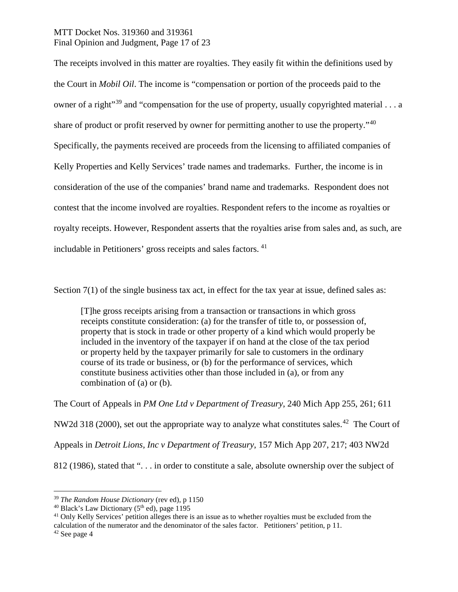## MTT Docket Nos. 319360 and 319361 Final Opinion and Judgment, Page 17 of 23

The receipts involved in this matter are royalties. They easily fit within the definitions used by the Court in *Mobil Oil*. The income is "compensation or portion of the proceeds paid to the owner of a right<sup>"[39](#page-16-0)</sup> and "compensation for the use of property, usually copyrighted material  $\dots$  a share of product or profit reserved by owner for permitting another to use the property."<sup>[40](#page-16-1)</sup> Specifically, the payments received are proceeds from the licensing to affiliated companies of Kelly Properties and Kelly Services' trade names and trademarks. Further, the income is in consideration of the use of the companies' brand name and trademarks. Respondent does not contest that the income involved are royalties. Respondent refers to the income as royalties or royalty receipts. However, Respondent asserts that the royalties arise from sales and, as such, are includable in Petitioners' gross receipts and sales factors. [41](#page-16-2)

Section 7(1) of the single business tax act, in effect for the tax year at issue, defined sales as:

[T]he gross receipts arising from a transaction or transactions in which gross receipts constitute consideration: (a) for the transfer of title to, or possession of, property that is stock in trade or other property of a kind which would properly be included in the inventory of the taxpayer if on hand at the close of the tax period or property held by the taxpayer primarily for sale to customers in the ordinary course of its trade or business, or (b) for the performance of services, which constitute business activities other than those included in (a), or from any combination of (a) or (b).

The Court of Appeals in *PM One Ltd v Department of Treasury*, 240 Mich App 255, 261; 611 NW2d 318 (2000), set out the appropriate way to analyze what constitutes sales.<sup>[42](#page-16-3)</sup> The Court of Appeals in *Detroit Lions, Inc v Department of Treasury*, 157 Mich App 207, 217; 403 NW2d 812 (1986), stated that ". . . in order to constitute a sale, absolute ownership over the subject of

<span id="page-16-0"></span> <sup>39</sup> *The Random House Dictionary* (rev ed), p 1150

<span id="page-16-1"></span><sup>&</sup>lt;sup>40</sup> Black's Law Dictionary ( $5<sup>th</sup>$  ed), page 1195

<span id="page-16-2"></span><sup>&</sup>lt;sup>41</sup> Only Kelly Services' petition alleges there is an issue as to whether royalties must be excluded from the calculation of the numerator and the denominator of the sales factor. Petitioners' petition, p 11.

<span id="page-16-3"></span><sup>42</sup> See page 4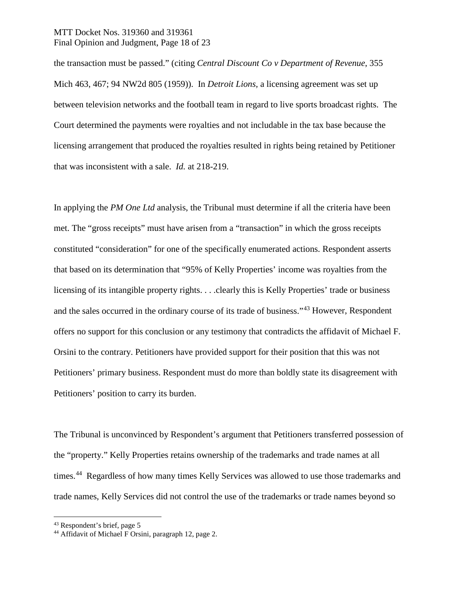## MTT Docket Nos. 319360 and 319361 Final Opinion and Judgment, Page 18 of 23

the transaction must be passed." (citing *Central Discount Co v Department of Revenue*, 355 Mich 463, 467; 94 NW2d 805 (1959)). In *Detroit Lions,* a licensing agreement was set up between television networks and the football team in regard to live sports broadcast rights. The Court determined the payments were royalties and not includable in the tax base because the licensing arrangement that produced the royalties resulted in rights being retained by Petitioner that was inconsistent with a sale. *Id.* at 218-219.

In applying the *PM One Ltd* analysis, the Tribunal must determine if all the criteria have been met. The "gross receipts" must have arisen from a "transaction" in which the gross receipts constituted "consideration" for one of the specifically enumerated actions. Respondent asserts that based on its determination that "95% of Kelly Properties' income was royalties from the licensing of its intangible property rights. . . .clearly this is Kelly Properties' trade or business and the sales occurred in the ordinary course of its trade of business."[43](#page-17-0) However, Respondent offers no support for this conclusion or any testimony that contradicts the affidavit of Michael F. Orsini to the contrary. Petitioners have provided support for their position that this was not Petitioners' primary business. Respondent must do more than boldly state its disagreement with Petitioners' position to carry its burden.

The Tribunal is unconvinced by Respondent's argument that Petitioners transferred possession of the "property." Kelly Properties retains ownership of the trademarks and trade names at all times.<sup>44</sup> Regardless of how many times Kelly Services was allowed to use those trademarks and trade names, Kelly Services did not control the use of the trademarks or trade names beyond so

<span id="page-17-0"></span> <sup>43</sup> Respondent's brief, page 5

<span id="page-17-1"></span><sup>&</sup>lt;sup>44</sup> Affidavit of Michael F Orsini, paragraph 12, page 2.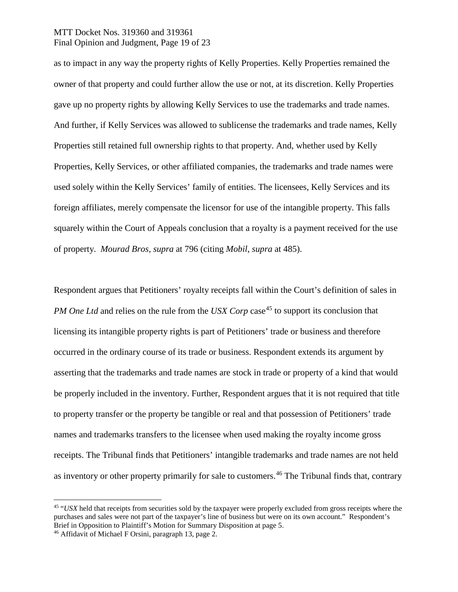## MTT Docket Nos. 319360 and 319361 Final Opinion and Judgment, Page 19 of 23

as to impact in any way the property rights of Kelly Properties. Kelly Properties remained the owner of that property and could further allow the use or not, at its discretion. Kelly Properties gave up no property rights by allowing Kelly Services to use the trademarks and trade names. And further, if Kelly Services was allowed to sublicense the trademarks and trade names, Kelly Properties still retained full ownership rights to that property. And, whether used by Kelly Properties, Kelly Services, or other affiliated companies, the trademarks and trade names were used solely within the Kelly Services' family of entities. The licensees, Kelly Services and its foreign affiliates, merely compensate the licensor for use of the intangible property. This falls squarely within the Court of Appeals conclusion that a royalty is a payment received for the use of property. *Mourad Bros, supra* at 796 (citing *Mobil, supra* at 485).

Respondent argues that Petitioners' royalty receipts fall within the Court's definition of sales in *PM One Ltd* and relies on the rule from the *USX Corp* case<sup>[45](#page-18-0)</sup> to support its conclusion that licensing its intangible property rights is part of Petitioners' trade or business and therefore occurred in the ordinary course of its trade or business. Respondent extends its argument by asserting that the trademarks and trade names are stock in trade or property of a kind that would be properly included in the inventory. Further, Respondent argues that it is not required that title to property transfer or the property be tangible or real and that possession of Petitioners' trade names and trademarks transfers to the licensee when used making the royalty income gross receipts. The Tribunal finds that Petitioners' intangible trademarks and trade names are not held as inventory or other property primarily for sale to customers.<sup>[46](#page-18-1)</sup> The Tribunal finds that, contrary

<span id="page-18-0"></span> <sup>45</sup> "*USX* held that receipts from securities sold by the taxpayer were properly excluded from gross receipts where the purchases and sales were not part of the taxpayer's line of business but were on its own account." Respondent's Brief in Opposition to Plaintiff's Motion for Summary Disposition at page 5.

<span id="page-18-1"></span><sup>46</sup> Affidavit of Michael F Orsini, paragraph 13, page 2.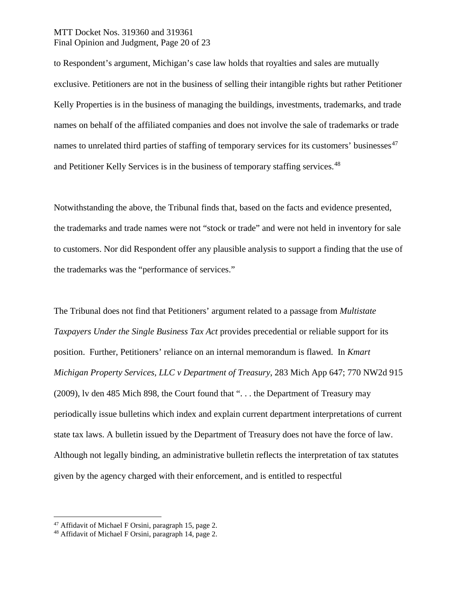## MTT Docket Nos. 319360 and 319361 Final Opinion and Judgment, Page 20 of 23

to Respondent's argument, Michigan's case law holds that royalties and sales are mutually exclusive. Petitioners are not in the business of selling their intangible rights but rather Petitioner Kelly Properties is in the business of managing the buildings, investments, trademarks, and trade names on behalf of the affiliated companies and does not involve the sale of trademarks or trade names to unrelated third parties of staffing of temporary services for its customers' businesses $47$ and Petitioner Kelly Services is in the business of temporary staffing services.<sup>[48](#page-19-1)</sup>

Notwithstanding the above, the Tribunal finds that, based on the facts and evidence presented, the trademarks and trade names were not "stock or trade" and were not held in inventory for sale to customers. Nor did Respondent offer any plausible analysis to support a finding that the use of the trademarks was the "performance of services."

The Tribunal does not find that Petitioners' argument related to a passage from *Multistate Taxpayers Under the Single Business Tax Act* provides precedential or reliable support for its position. Further, Petitioners' reliance on an internal memorandum is flawed. In *Kmart Michigan Property Services, LLC v Department of Treasury*, 283 Mich App 647; 770 NW2d 915 (2009), lv den 485 Mich 898, the Court found that ". . . the Department of Treasury may periodically issue bulletins which index and explain current department interpretations of current state tax laws. A bulletin issued by the Department of Treasury does not have the force of law. Although not legally binding, an administrative bulletin reflects the interpretation of tax statutes given by the agency charged with their enforcement, and is entitled to respectful

<span id="page-19-0"></span> <sup>47</sup> Affidavit of Michael F Orsini, paragraph 15, page 2.

<span id="page-19-1"></span><sup>48</sup> Affidavit of Michael F Orsini, paragraph 14, page 2.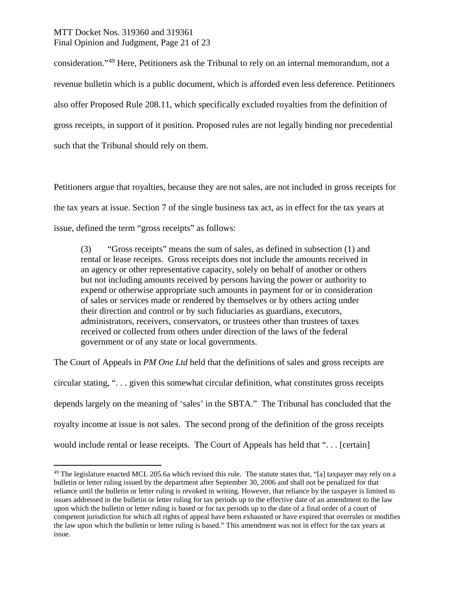## MTT Docket Nos. 319360 and 319361 Final Opinion and Judgment, Page 21 of 23

consideration."[49](#page-20-0) Here, Petitioners ask the Tribunal to rely on an internal memorandum, not a revenue bulletin which is a public document, which is afforded even less deference. Petitioners also offer Proposed Rule 208.11, which specifically excluded royalties from the definition of gross receipts, in support of it position. Proposed rules are not legally binding nor precedential such that the Tribunal should rely on them.

Petitioners argue that royalties, because they are not sales, are not included in gross receipts for the tax years at issue. Section 7 of the single business tax act, as in effect for the tax years at issue, defined the term "gross receipts" as follows:

(3) "Gross receipts" means the sum of sales, as defined in subsection (1) and rental or lease receipts. Gross receipts does not include the amounts received in an agency or other representative capacity, solely on behalf of another or others but not including amounts received by persons having the power or authority to expend or otherwise appropriate such amounts in payment for or in consideration of sales or services made or rendered by themselves or by others acting under their direction and control or by such fiduciaries as guardians, executors, administrators, receivers, conservators, or trustees other than trustees of taxes received or collected from others under direction of the laws of the federal government or of any state or local governments.

The Court of Appeals in *PM One Ltd* held that the definitions of sales and gross receipts are circular stating, ". . . given this somewhat circular definition, what constitutes gross receipts depends largely on the meaning of 'sales' in the SBTA." The Tribunal has concluded that the royalty income at issue is not sales. The second prong of the definition of the gross receipts would include rental or lease receipts. The Court of Appeals has held that "... [certain]

<span id="page-20-0"></span> $49$  The legislature enacted MCL 205.6a which revised this rule. The statute states that, "[a] taxpayer may rely on a bulletin or letter ruling issued by the department after September 30, 2006 and shall not be penalized for that reliance until the bulletin or letter ruling is revoked in writing. However, that reliance by the taxpayer is limited to issues addressed in the bulletin or letter ruling for tax periods up to the effective date of an amendment to the law upon which the bulletin or letter ruling is based or for tax periods up to the date of a final order of a court of competent jurisdiction for which all rights of appeal have been exhausted or have expired that overrules or modifies the law upon which the bulletin or letter ruling is based." This amendment was not in effect for the tax years at issue.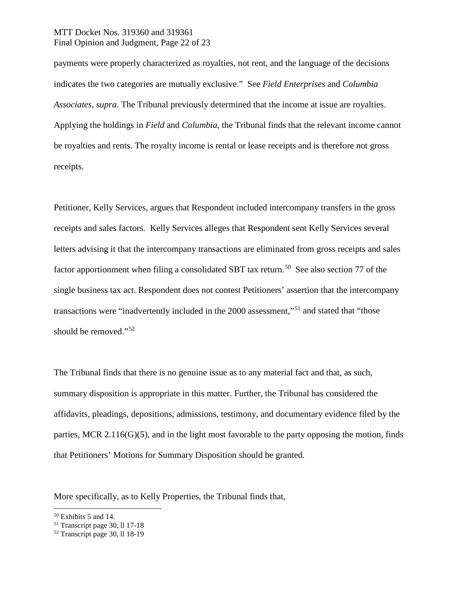## MTT Docket Nos. 319360 and 319361 Final Opinion and Judgment, Page 22 of 23

payments were properly characterized as royalties, not rent, and the language of the decisions indicates the two categories are mutually exclusive." See *Field Enterprises* and *Columbia Associates, supra*. The Tribunal previously determined that the income at issue are royalties. Applying the holdings in *Field* and *Columbia*, the Tribunal finds that the relevant income cannot be royalties and rents. The royalty income is rental or lease receipts and is therefore not gross receipts.

Petitioner, Kelly Services, argues that Respondent included intercompany transfers in the gross receipts and sales factors. Kelly Services alleges that Respondent sent Kelly Services several letters advising it that the intercompany transactions are eliminated from gross receipts and sales factor apportionment when filing a consolidated SBT tax return.<sup>[50](#page-21-0)</sup> See also section 77 of the single business tax act. Respondent does not contest Petitioners' assertion that the intercompany transactions were "inadvertently included in the 2000 assessment,"[51](#page-21-1) and stated that "those should be removed."<sup>[52](#page-21-2)</sup>

The Tribunal finds that there is no genuine issue as to any material fact and that, as such, summary disposition is appropriate in this matter. Further, the Tribunal has considered the affidavits, pleadings, depositions, admissions, testimony, and documentary evidence filed by the parties, MCR 2.116(G)(5), and in the light most favorable to the party opposing the motion, finds that Petitioners' Motions for Summary Disposition should be granted.

More specifically, as to Kelly Properties, the Tribunal finds that,

<span id="page-21-0"></span> <sup>50</sup> Exhibits 5 and 14.

<span id="page-21-1"></span><sup>51</sup> Transcript page 30, ll 17-18

<span id="page-21-2"></span><sup>52</sup> Transcript page 30, ll 18-19